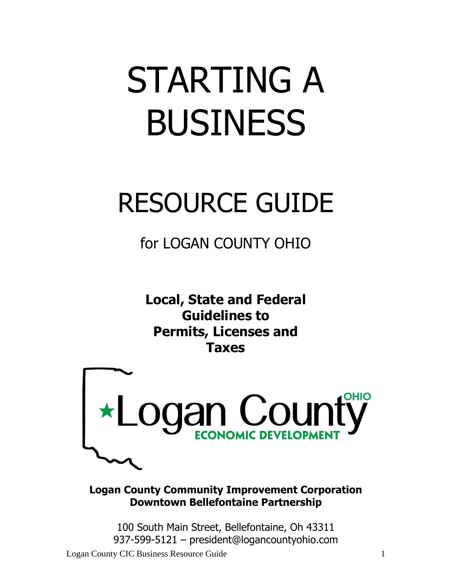# STARTING A BUSINESS

# RESOURCE GUIDE

for LOGAN COUNTY OHIO

**Local, State and Federal Guidelines to Permits, Licenses and Taxes**



**Logan County Community Improvement Corporation Downtown Bellefontaine Partnership**

100 South Main Street, Bellefontaine, Oh 43311 937-599-5121 – president@logancountyohio.com

Logan County CIC Business Resource Guide 1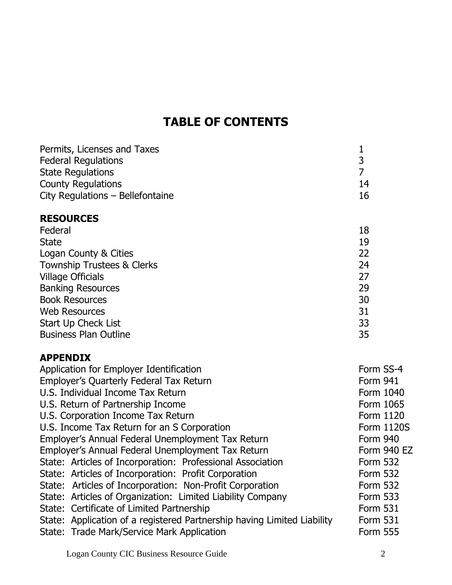# **TABLE OF CONTENTS**

| Permits, Licenses and Taxes      |    |
|----------------------------------|----|
| <b>Federal Regulations</b>       |    |
| <b>State Regulations</b>         |    |
| <b>County Regulations</b>        | 14 |
| City Regulations - Bellefontaine | 16 |
|                                  |    |

# **RESOURCES**

| Federal                               | 18 |
|---------------------------------------|----|
| <b>State</b>                          | 19 |
| Logan County & Cities                 | 22 |
| <b>Township Trustees &amp; Clerks</b> | 24 |
| <b>Village Officials</b>              | 27 |
| <b>Banking Resources</b>              | 29 |
| <b>Book Resources</b>                 | 30 |
| <b>Web Resources</b>                  | 31 |
| <b>Start Up Check List</b>            | 33 |
| <b>Business Plan Outline</b>          | 35 |

# **APPENDIX**

| Application for Employer Identification                                 | Form SS-4       |
|-------------------------------------------------------------------------|-----------------|
| Employer's Quarterly Federal Tax Return                                 | <b>Form 941</b> |
| U.S. Individual Income Tax Return                                       | Form 1040       |
| U.S. Return of Partnership Income                                       | Form 1065       |
| U.S. Corporation Income Tax Return                                      | Form 1120       |
| U.S. Income Tax Return for an S Corporation                             | Form 1120S      |
| Employer's Annual Federal Unemployment Tax Return                       | <b>Form 940</b> |
| Employer's Annual Federal Unemployment Tax Return                       | Form 940 EZ     |
| State: Articles of Incorporation: Professional Association              | <b>Form 532</b> |
| State: Articles of Incorporation: Profit Corporation                    | <b>Form 532</b> |
| State: Articles of Incorporation: Non-Profit Corporation                | <b>Form 532</b> |
| State: Articles of Organization: Limited Liability Company              | <b>Form 533</b> |
| State: Certificate of Limited Partnership                               | <b>Form 531</b> |
| State: Application of a registered Partnership having Limited Liability | <b>Form 531</b> |
| State: Trade Mark/Service Mark Application                              | <b>Form 555</b> |
|                                                                         |                 |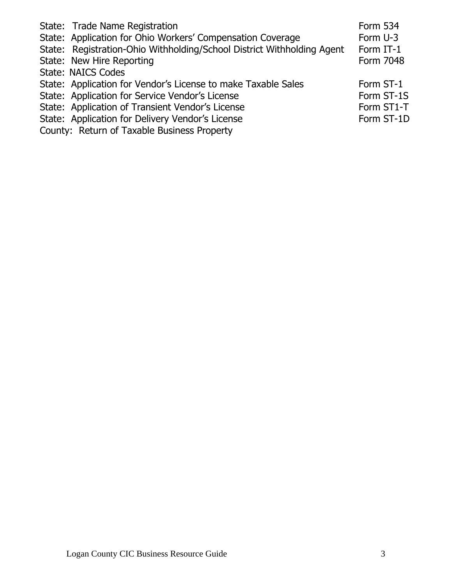| State: Trade Name Registration<br>State: Application for Ohio Workers' Compensation Coverage<br>State: Registration-Ohio Withholding/School District Withholding Agent | <b>Form 534</b><br>Form U-3<br>Form IT-1 |
|------------------------------------------------------------------------------------------------------------------------------------------------------------------------|------------------------------------------|
| State: New Hire Reporting                                                                                                                                              | Form 7048                                |
| <b>State: NAICS Codes</b>                                                                                                                                              |                                          |
| State: Application for Vendor's License to make Taxable Sales                                                                                                          | Form ST-1                                |
| State: Application for Service Vendor's License                                                                                                                        | Form ST-1S                               |
| State: Application of Transient Vendor's License                                                                                                                       | Form ST1-T                               |
| State: Application for Delivery Vendor's License                                                                                                                       | Form ST-1D                               |
| County: Return of Taxable Business Property                                                                                                                            |                                          |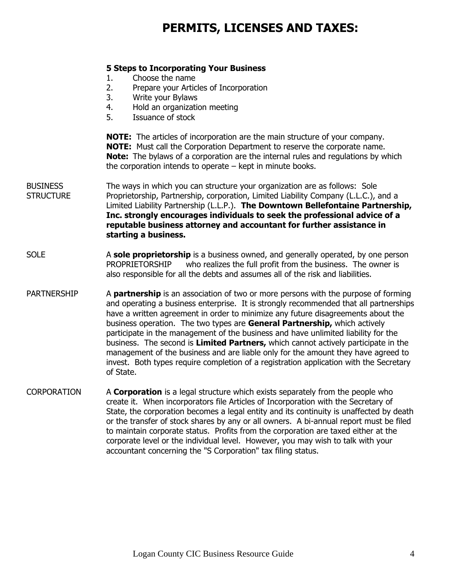# **PERMITS, LICENSES AND TAXES:**

#### **5 Steps to Incorporating Your Business**

- 1. Choose the name
- 2. Prepare your Articles of Incorporation
- 3. Write your Bylaws
- 4. Hold an organization meeting
- 5. Issuance of stock

**NOTE:** The articles of incorporation are the main structure of your company. **NOTE:** Must call the Corporation Department to reserve the corporate name. **Note:** The bylaws of a corporation are the internal rules and regulations by which the corporation intends to operate – kept in minute books.

- BUSINESS The ways in which you can structure your organization are as follows: Sole STRUCTURE Proprietorship, Partnership, corporation, Limited Liability Company (L.L.C.), and a Limited Liability Partnership (L.L.P.). **The Downtown Bellefontaine Partnership, Inc. strongly encourages individuals to seek the professional advice of a reputable business attorney and accountant for further assistance in starting a business.**
- SOLE A **sole proprietorship** is a business owned, and generally operated, by one person PROPRIETORSHIP who realizes the full profit from the business. The owner is also responsible for all the debts and assumes all of the risk and liabilities.
- PARTNERSHIP A **partnership** is an association of two or more persons with the purpose of forming and operating a business enterprise. It is strongly recommended that all partnerships have a written agreement in order to minimize any future disagreements about the business operation. The two types are **General Partnership,** which actively participate in the management of the business and have unlimited liability for the business. The second is **Limited Partners,** which cannot actively participate in the management of the business and are liable only for the amount they have agreed to invest. Both types require completion of a registration application with the Secretary of State.
- CORPORATION A **Corporation** is a legal structure which exists separately from the people who create it. When incorporators file Articles of Incorporation with the Secretary of State, the corporation becomes a legal entity and its continuity is unaffected by death or the transfer of stock shares by any or all owners. A bi-annual report must be filed to maintain corporate status. Profits from the corporation are taxed either at the corporate level or the individual level. However, you may wish to talk with your accountant concerning the "S Corporation" tax filing status.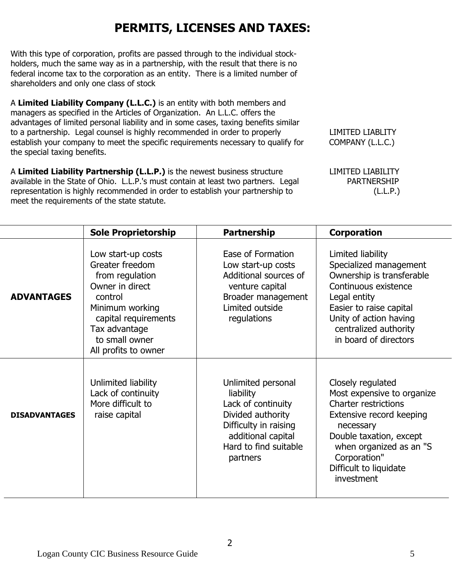# **PERMITS, LICENSES AND TAXES:**

With this type of corporation, profits are passed through to the individual stockholders, much the same way as in a partnership, with the result that there is no federal income tax to the corporation as an entity. There is a limited number of shareholders and only one class of stock

A **Limited Liability Company (L.L.C.)** is an entity with both members and managers as specified in the Articles of Organization. An L.L.C. offers the advantages of limited personal liability and in some cases, taxing benefits similar to a partnership. Legal counsel is highly recommended in order to properly LIMITED LIABLITY establish your company to meet the specific requirements necessary to qualify for COMPANY (L.L.C.) the special taxing benefits.

A Limited Liability Partnership (L.L.P.) is the newest business structure LIMITED LIABILITY available in the State of Ohio. L.L.P.'s must contain at least two partners. Legal PARTNERSHIP representation is highly recommended in order to establish your partnership to (L.L.P.) meet the requirements of the state statute.

|                      | <b>Sole Proprietorship</b>                                                                                                                                                                   | <b>Partnership</b>                                                                                                                                             | <b>Corporation</b>                                                                                                                                                                                                                    |
|----------------------|----------------------------------------------------------------------------------------------------------------------------------------------------------------------------------------------|----------------------------------------------------------------------------------------------------------------------------------------------------------------|---------------------------------------------------------------------------------------------------------------------------------------------------------------------------------------------------------------------------------------|
| <b>ADVANTAGES</b>    | Low start-up costs<br>Greater freedom<br>from regulation<br>Owner in direct<br>control<br>Minimum working<br>capital requirements<br>Tax advantage<br>to small owner<br>All profits to owner | Ease of Formation<br>Low start-up costs<br>Additional sources of<br>venture capital<br>Broader management<br>Limited outside<br>regulations                    | Limited liability<br>Specialized management<br>Ownership is transferable<br>Continuous existence<br>Legal entity<br>Easier to raise capital<br>Unity of action having<br>centralized authority<br>in board of directors               |
| <b>DISADVANTAGES</b> | Unlimited liability<br>Lack of continuity<br>More difficult to<br>raise capital                                                                                                              | Unlimited personal<br>liability<br>Lack of continuity<br>Divided authority<br>Difficulty in raising<br>additional capital<br>Hard to find suitable<br>partners | Closely regulated<br>Most expensive to organize<br><b>Charter restrictions</b><br>Extensive record keeping<br>necessary<br>Double taxation, except<br>when organized as an "S<br>Corporation"<br>Difficult to liquidate<br>investment |

2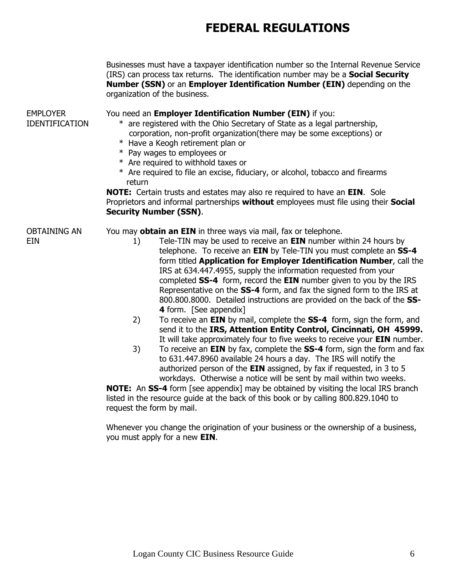|                                          | Businesses must have a taxpayer identification number so the Internal Revenue Service<br>(IRS) can process tax returns. The identification number may be a <b>Social Security</b><br>Number (SSN) or an Employer Identification Number (EIN) depending on the<br>organization of the business.                                                                                                                                                                                                                                                                                                                                                                                                                                                                                                                                                                                                                                                                                                                                                                                                                                                                  |
|------------------------------------------|-----------------------------------------------------------------------------------------------------------------------------------------------------------------------------------------------------------------------------------------------------------------------------------------------------------------------------------------------------------------------------------------------------------------------------------------------------------------------------------------------------------------------------------------------------------------------------------------------------------------------------------------------------------------------------------------------------------------------------------------------------------------------------------------------------------------------------------------------------------------------------------------------------------------------------------------------------------------------------------------------------------------------------------------------------------------------------------------------------------------------------------------------------------------|
| <b>EMPLOYER</b><br><b>IDENTIFICATION</b> | You need an Employer Identification Number (EIN) if you:<br>* are registered with the Ohio Secretary of State as a legal partnership,<br>corporation, non-profit organization(there may be some exceptions) or<br>* Have a Keogh retirement plan or<br>* Pay wages to employees or<br>* Are required to withhold taxes or<br>* Are required to file an excise, fiduciary, or alcohol, tobacco and firearms                                                                                                                                                                                                                                                                                                                                                                                                                                                                                                                                                                                                                                                                                                                                                      |
|                                          | return<br><b>NOTE:</b> Certain trusts and estates may also re required to have an <b>EIN</b> . Sole<br>Proprietors and informal partnerships without employees must file using their Social<br><b>Security Number (SSN).</b>                                                                                                                                                                                                                                                                                                                                                                                                                                                                                                                                                                                                                                                                                                                                                                                                                                                                                                                                    |
| OBTAINING AN<br>EIN                      | You may obtain an EIN in three ways via mail, fax or telephone.<br>Tele-TIN may be used to receive an <b>EIN</b> number within 24 hours by<br>1)<br>telephone. To receive an EIN by Tele-TIN you must complete an SS-4<br>form titled Application for Employer Identification Number, call the<br>IRS at 634.447.4955, supply the information requested from your<br>completed SS-4 form, record the EIN number given to you by the IRS<br>Representative on the SS-4 form, and fax the signed form to the IRS at<br>800.800.8000. Detailed instructions are provided on the back of the SS-<br>4 form. [See appendix]<br>To receive an EIN by mail, complete the SS-4 form, sign the form, and<br>2)<br>send it to the IRS, Attention Entity Control, Cincinnati, OH 45999.<br>It will take approximately four to five weeks to receive your EIN number.<br>To receive an EIN by fax, complete the SS-4 form, sign the form and fax<br>3)<br>to 631.447.8960 available 24 hours a day. The IRS will notify the<br>authorized person of the EIN assigned, by fax if requested, in 3 to 5<br>workdays. Otherwise a notice will be sent by mail within two weeks. |
|                                          | <b>NOTE:</b> An SS-4 form [see appendix] may be obtained by visiting the local IRS branch<br>listed in the resource guide at the back of this book or by calling 800.829.1040 to<br>request the form by mail.                                                                                                                                                                                                                                                                                                                                                                                                                                                                                                                                                                                                                                                                                                                                                                                                                                                                                                                                                   |

Whenever you change the origination of your business or the ownership of a business, you must apply for a new **EIN**.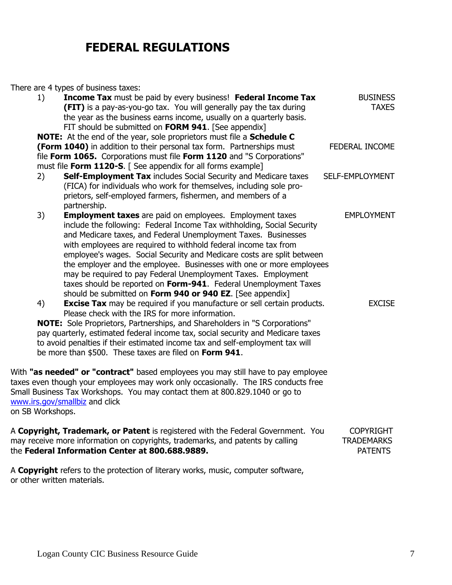There are 4 types of business taxes:

| 1)                          | <b>Income Tax</b> must be paid by every business! Federal Income Tax<br><b>(FIT)</b> is a pay-as-you-go tax. You will generally pay the tax during<br>the year as the business earns income, usually on a quarterly basis.<br>FIT should be submitted on FORM 941. [See appendix]                                                                                                                                                                                                                                                                                                                                                  | <b>BUSINESS</b><br><b>TAXES</b>                         |
|-----------------------------|------------------------------------------------------------------------------------------------------------------------------------------------------------------------------------------------------------------------------------------------------------------------------------------------------------------------------------------------------------------------------------------------------------------------------------------------------------------------------------------------------------------------------------------------------------------------------------------------------------------------------------|---------------------------------------------------------|
|                             | NOTE: At the end of the year, sole proprietors must file a Schedule C<br>(Form 1040) in addition to their personal tax form. Partnerships must<br>file Form 1065. Corporations must file Form 1120 and "S Corporations"<br>must file Form 1120-S. [ See appendix for all forms example]                                                                                                                                                                                                                                                                                                                                            | <b>FEDERAL INCOME</b>                                   |
| 2)                          | Self-Employment Tax includes Social Security and Medicare taxes<br>(FICA) for individuals who work for themselves, including sole pro-<br>prietors, self-employed farmers, fishermen, and members of a<br>partnership.                                                                                                                                                                                                                                                                                                                                                                                                             | SELF-EMPLOYMENT                                         |
| 3)                          | <b>Employment taxes</b> are paid on employees. Employment taxes<br>include the following: Federal Income Tax withholding, Social Security<br>and Medicare taxes, and Federal Unemployment Taxes. Businesses<br>with employees are required to withhold federal income tax from<br>employee's wages. Social Security and Medicare costs are split between<br>the employer and the employee. Businesses with one or more employees<br>may be required to pay Federal Unemployment Taxes. Employment<br>taxes should be reported on Form-941. Federal Unemployment Taxes<br>should be submitted on Form 940 or 940 EZ. [See appendix] | <b>EMPLOYMENT</b>                                       |
| 4)                          | <b>Excise Tax</b> may be required if you manufacture or sell certain products.<br>Please check with the IRS for more information.<br><b>NOTE:</b> Sole Proprietors, Partnerships, and Shareholders in "S Corporations"<br>pay quarterly, estimated federal income tax, social security and Medicare taxes<br>to avoid penalties if their estimated income tax and self-employment tax will<br>be more than \$500. These taxes are filed on Form 941.                                                                                                                                                                               | <b>EXCISE</b>                                           |
| on SB Workshops.            | With "as needed" or "contract" based employees you may still have to pay employee<br>taxes even though your employees may work only occasionally. The IRS conducts free<br>Small Business Tax Workshops. You may contact them at 800.829.1040 or go to<br>www.irs.gov/smallbiz and click                                                                                                                                                                                                                                                                                                                                           |                                                         |
|                             | A Copyright, Trademark, or Patent is registered with the Federal Government. You<br>may receive more information on copyrights, trademarks, and patents by calling<br>the Federal Information Center at 800.688.9889.                                                                                                                                                                                                                                                                                                                                                                                                              | <b>COPYRIGHT</b><br><b>TRADEMARKS</b><br><b>PATENTS</b> |
| or other written materials. | A Copyright refers to the protection of literary works, music, computer software,                                                                                                                                                                                                                                                                                                                                                                                                                                                                                                                                                  |                                                         |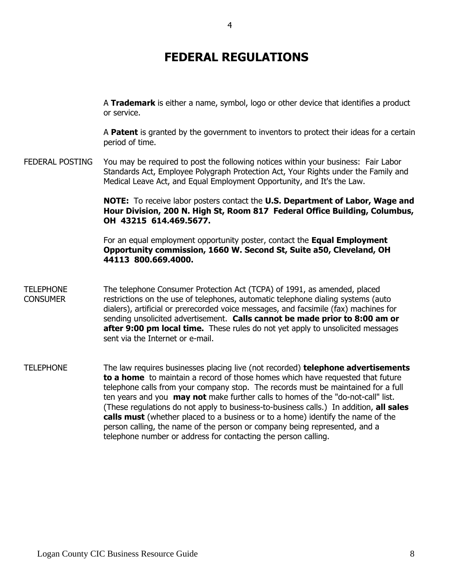A **Trademark** is either a name, symbol, logo or other device that identifies a product or service.

A **Patent** is granted by the government to inventors to protect their ideas for a certain period of time.

FEDERAL POSTING You may be required to post the following notices within your business: Fair Labor Standards Act, Employee Polygraph Protection Act, Your Rights under the Family and Medical Leave Act, and Equal Employment Opportunity, and It's the Law.

> **NOTE:** To receive labor posters contact the **U.S. Department of Labor, Wage and Hour Division, 200 N. High St, Room 817 Federal Office Building, Columbus, OH 43215 614.469.5677.**

For an equal employment opportunity poster, contact the **Equal Employment Opportunity commission, 1660 W. Second St, Suite a50, Cleveland, OH 44113 800.669.4000.**

- TELEPHONE The telephone Consumer Protection Act (TCPA) of 1991, as amended, placed CONSUMER restrictions on the use of telephones, automatic telephone dialing systems (auto dialers), artificial or prerecorded voice messages, and facsimile (fax) machines for sending unsolicited advertisement. **Calls cannot be made prior to 8:00 am or after 9:00 pm local time.** These rules do not yet apply to unsolicited messages sent via the Internet or e-mail.
- TELEPHONE The law requires businesses placing live (not recorded) **telephone advertisements to a home** to maintain a record of those homes which have requested that future telephone calls from your company stop. The records must be maintained for a full ten years and you **may not** make further calls to homes of the "do-not-call" list. (These regulations do not apply to business-to-business calls.) In addition, **all sales calls must** (whether placed to a business or to a home) identify the name of the person calling, the name of the person or company being represented, and a telephone number or address for contacting the person calling.

4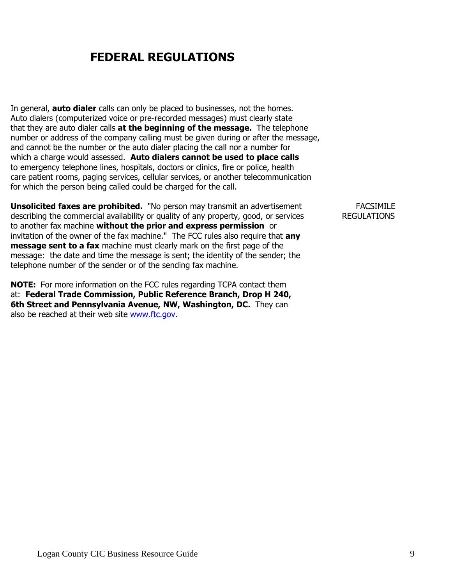In general, **auto dialer** calls can only be placed to businesses, not the homes. Auto dialers (computerized voice or pre-recorded messages) must clearly state that they are auto dialer calls **at the beginning of the message.** The telephone number or address of the company calling must be given during or after the message, and cannot be the number or the auto dialer placing the call nor a number for which a charge would assessed. **Auto dialers cannot be used to place calls** to emergency telephone lines, hospitals, doctors or clinics, fire or police, health care patient rooms, paging services, cellular services, or another telecommunication for which the person being called could be charged for the call.

**Unsolicited faxes are prohibited.** "No person may transmit an advertisement FACSIMILE describing the commercial availability or quality of any property, good, or services REGULATIONS to another fax machine **without the prior and express permission** or invitation of the owner of the fax machine." The FCC rules also require that **any message sent to a fax** machine must clearly mark on the first page of the message: the date and time the message is sent; the identity of the sender; the telephone number of the sender or of the sending fax machine.

**NOTE:** For more information on the FCC rules regarding TCPA contact them at: **Federal Trade Commission, Public Reference Branch, Drop H 240, 6th Street and Pennsylvania Avenue, NW, Washington, DC.** They can also be reached at their web site [www.ftc.gov.](http://www.ftc.gov/)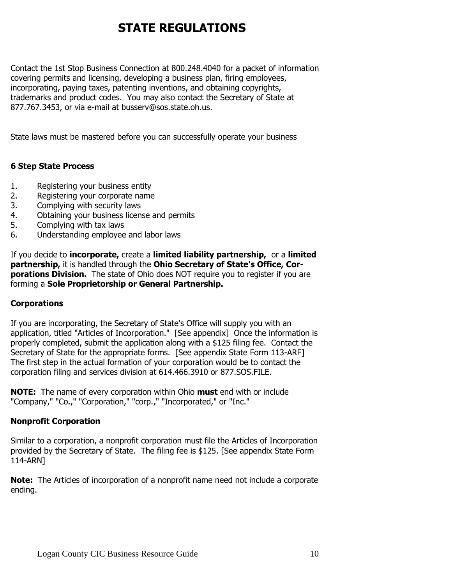Contact the 1st Stop Business Connection at 800.248.4040 for a packet of information covering permits and licensing, developing a business plan, firing employees, incorporating, paying taxes, patenting inventions, and obtaining copyrights, trademarks and product codes. You may also contact the Secretary of State at 877.767.3453, or via e-mail at busserv@sos.state.oh.us.

State laws must be mastered before you can successfully operate your business

# **6 Step State Process**

- 1. Registering your business entity
- 2. Registering your corporate name
- 3. Complying with security laws
- 4. Obtaining your business license and permits
- 5. Complying with tax laws
- 6. Understanding employee and labor laws

If you decide to **incorporate**, create a **limited liability partnership**, or a **limited** partnership, it is handled through the Ohio Secretary of State's Office, Cor**porations Division.** The state of Ohio does NOT require you to register if you are forming a **Sole Proprietorship or General Partnership.**

#### CORPORATIONS **Corporations**

If you are incorporating, the Secretary of State's Office will supply you with an application, titled "Articles of Incorporation." [See appendix] Once the information is properly completed, submit the application along with a \$125 filing fee. Contact the Secretary of State for the appropriate forms. [See appendix State Form 113-ARF] The first step in the actual formation of your corporation would be to contact the corporation filing and services division at 614.466.3910 or 877.SOS.FILE.

**NOTE:** The name of every corporation within Ohio **must** end with or include "Company," "Co.," "Corporation," "corp.," "Incorporated," or "Inc."

#### **Nonprofit Corporation**

Similar to a corporation, a nonprofit corporation must file the Articles of Incorporation provided by the Secretary of State. The filing fee is \$125. [See appendix State Form 114-ARN]

**Note:** The Articles of incorporation of a nonprofit name need not include a corporate ending.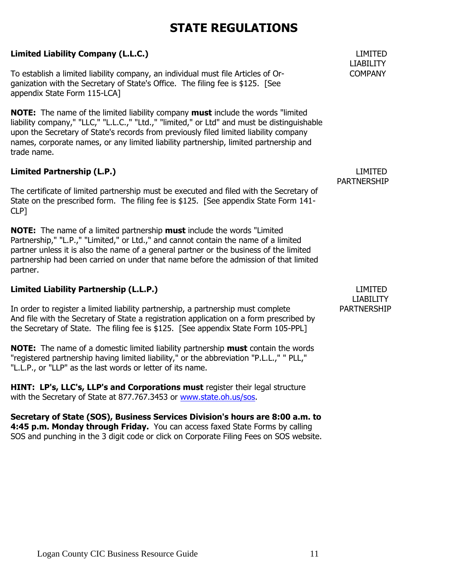# **Limited Liability Company (L.L.C.)** LIMITED

To establish a limited liability company, an individual must file Articles of Or- COMPANY ganization with the Secretary of State's Office. The filing fee is \$125. [See appendix State Form 115-LCA]

**NOTE:** The name of the limited liability company **must** include the words "limited liability company," "LLC," "L.L.C.," "Ltd.," "limited," or Ltd" and must be distinguishable upon the Secretary of State's records from previously filed limited liability company names, corporate names, or any limited liability partnership, limited partnership and trade name.

# **Limited Partnership (L.P.)** LIMITED

The certificate of limited partnership must be executed and filed with the Secretary of State on the prescribed form. The filing fee is \$125. [See appendix State Form 141- CLP]

**NOTE:** The name of a limited partnership **must** include the words "Limited Partnership," "L.P.," "Limited," or Ltd.," and cannot contain the name of a limited partner unless it is also the name of a general partner or the business of the limited partnership had been carried on under that name before the admission of that limited partner.

# **Limited Liability Partnership (L.L.P.)** LIMITED

In order to register a limited liability partnership, a partnership must complete PARTNERSHIP And file with the Secretary of State a registration application on a form prescribed by the Secretary of State. The filing fee is \$125. [See appendix State Form 105-PPL]

**NOTE:** The name of a domestic limited liability partnership **must** contain the words "registered partnership having limited liability," or the abbreviation "P.L.L.," " PLL," "L.L.P., or "LLP" as the last words or letter of its name.

**HINT: LP's, LLC's, LLP's and Corporations must** register their legal structure with the Secretary of State at 877.767.3453 or [www.state.oh.us/sos.](http://www.state.oh.us/sos)

**Secretary of State (SOS), Business Services Division's hours are 8:00 a.m. to 4:45 p.m. Monday through Friday.** You can access faxed State Forms by calling SOS and punching in the 3 digit code or click on Corporate Filing Fees on SOS website.

# LIABILITY

PARTNERSHIP

LIABILITY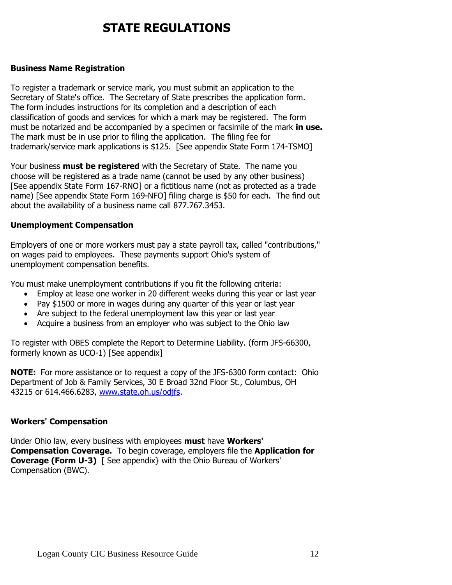#### BUSINESS **Business Name Registration**

To register a trademark or service mark, you must submit an application to the Secretary of State's office. The Secretary of State prescribes the application form. The form includes instructions for its completion and a description of each classification of goods and services for which a mark may be registered. The form must be notarized and be accompanied by a specimen or facsimile of the mark **in use.** The mark must be in use prior to filing the application. The filing fee for trademark/service mark applications is \$125. [See appendix State Form 174-TSMO]

Your business **must be registered** with the Secretary of State. The name you choose will be registered as a trade name (cannot be used by any other business) [See appendix State Form 167-RNO] or a fictitious name (not as protected as a trade name) [See appendix State Form 169-NFO] filing charge is \$50 for each. The find out about the availability of a business name call 877.767.3453.

#### **Unemployment Compensation**

Employers of one or more workers must pay a state payroll tax, called "contributions," on wages paid to employees. These payments support Ohio's system of unemployment compensation benefits.

You must make unemployment contributions if you fit the following criteria:

- Employ at lease one worker in 20 different weeks during this year or last year
- Pay \$1500 or more in wages during any quarter of this year or last year
- Are subject to the federal unemployment law this year or last year
- Acquire a business from an employer who was subject to the Ohio law

To register with OBES complete the Report to Determine Liability. (form JFS-66300, formerly known as UCO-1) [See appendix]

**NOTE:** For more assistance or to request a copy of the JFS-6300 form contact: Ohio Department of Job & Family Services, 30 E Broad 32nd Floor St., Columbus, OH 43215 or 614.466.6283, [www.state.oh.us/odjfs.](http://www.state.oh.us/odjfs)

#### **Workers' Compensation**

Under Ohio law, every business with employees **must** have **Workers' Compensation Coverage.** To begin coverage, employers file the **Application for Coverage (Form U-3)** [ See appendix} with the Ohio Bureau of Workers' Compensation (BWC).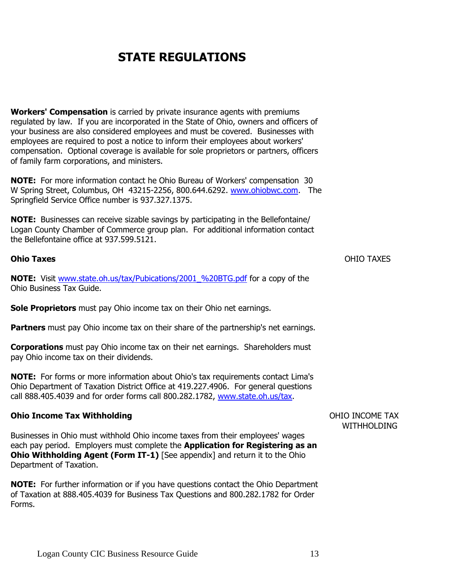**Workers' Compensation** is carried by private insurance agents with premiums regulated by law. If you are incorporated in the State of Ohio, owners and officers of your business are also considered employees and must be covered. Businesses with employees are required to post a notice to inform their employees about workers' compensation. Optional coverage is available for sole proprietors or partners, officers of family farm corporations, and ministers.

**NOTE:** For more information contact he Ohio Bureau of Workers' compensation 30 W Spring Street, Columbus, OH 43215-2256, 800.644.6292. [www.ohiobwc.com.](http://www.ohiobwc.com/) The Springfield Service Office number is 937.327.1375.

**NOTE:** Businesses can receive sizable savings by participating in the Bellefontaine/ Logan County Chamber of Commerce group plan. For additional information contact the Bellefontaine office at 937.599.5121.

#### **Ohio Taxes** OHIO TAXES

**NOTE:** Visit [www.state.oh.us/tax/Pubications/2001\\_%20BTG.pdf](http://www.state.oh.us/tax/Pubications/2001_%20BTG.pdf) for a copy of the Ohio Business Tax Guide.

**Sole Proprietors** must pay Ohio income tax on their Ohio net earnings.

**Partners** must pay Ohio income tax on their share of the partnership's net earnings.

**Corporations** must pay Ohio income tax on their net earnings. Shareholders must pay Ohio income tax on their dividends.

**NOTE:** For forms or more information about Ohio's tax requirements contact Lima's Ohio Department of Taxation District Office at 419.227.4906. For general questions call 888.405.4039 and for order forms call 800.282.1782, [www.state.oh.us/tax.](http://www.state.oh.us/tax)

#### **Ohio Income Tax Withholding** The Community of the Community Community Community Community OHIO INCOME TAX

Businesses in Ohio must withhold Ohio income taxes from their employees' wages each pay period. Employers must complete the **Application for Registering as an Ohio Withholding Agent (Form IT-1)** [See appendix] and return it to the Ohio Department of Taxation.

**NOTE:** For further information or if you have questions contact the Ohio Department of Taxation at 888.405.4039 for Business Tax Questions and 800.282.1782 for Order Forms.

WITHHOLDING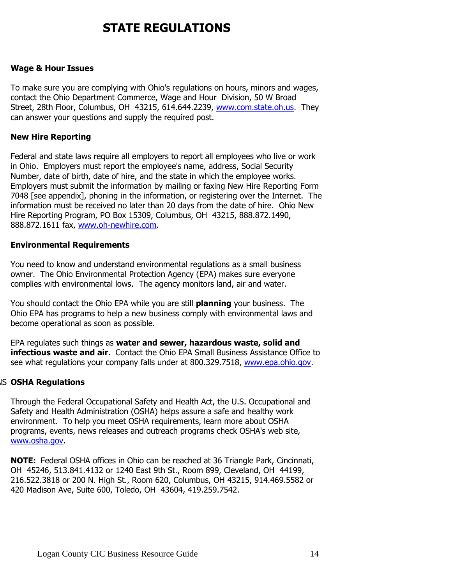#### WAGES & HOUR **Wage & Hour Issues**

To make sure you are complying with Ohio's regulations on hours, minors and wages, contact the Ohio Department Commerce, Wage and Hour Division, 50 W Broad Street, 28th Floor, Columbus, OH 43215, 614.644.2239, [www.com.state.oh.us.](http://www.com.state.oh.us/) They can answer your questions and supply the required post.

#### NEW HIRE **New Hire Reporting**

Federal and state laws require all employers to report all employees who live or work in Ohio. Employers must report the employee's name, address, Social Security Number, date of birth, date of hire, and the state in which the employee works. Employers must submit the information by mailing or faxing New Hire Reporting Form 7048 [see appendix], phoning in the information, or registering over the Internet. The information must be received no later than 20 days from the date of hire. Ohio New Hire Reporting Program, PO Box 15309, Columbus, OH 43215, 888.872.1490, 888.872.1611 fax, [www.oh-newhire.com.](http://www.oh-newhire.com/)

#### **Environmental Requirements**

You need to know and understand environmental regulations as a small business owner. The Ohio Environmental Protection Agency (EPA) makes sure everyone complies with environmental lows. The agency monitors land, air and water.

You should contact the Ohio EPA while you are still **planning** your business. The Ohio EPA has programs to help a new business comply with environmental laws and become operational as soon as possible.

EPA regulates such things as **water and sewer, hazardous waste, solid and infectious waste and air.** Contact the Ohio EPA Small Business Assistance Office to see what regulations your company falls under at 800.329.7518, [www.epa.ohio.gov.](http://www.epa.ohio.gov/)

#### OSHA REGULATIONS **OSHA Regulations**

Through the Federal Occupational Safety and Health Act, the U.S. Occupational and Safety and Health Administration (OSHA) helps assure a safe and healthy work environment. To help you meet OSHA requirements, learn more about OSHA programs, events, news releases and outreach programs check OSHA's web site, [www.osha.gov.](http://www.osha.gov/)

**NOTE:** Federal OSHA offices in Ohio can be reached at 36 Triangle Park, Cincinnati, OH 45246, 513.841.4132 or 1240 East 9th St., Room 899, Cleveland, OH 44199, 216.522.3818 or 200 N. High St., Room 620, Columbus, OH 43215, 914.469.5582 or 420 Madison Ave, Suite 600, Toledo, OH 43604, 419.259.7542.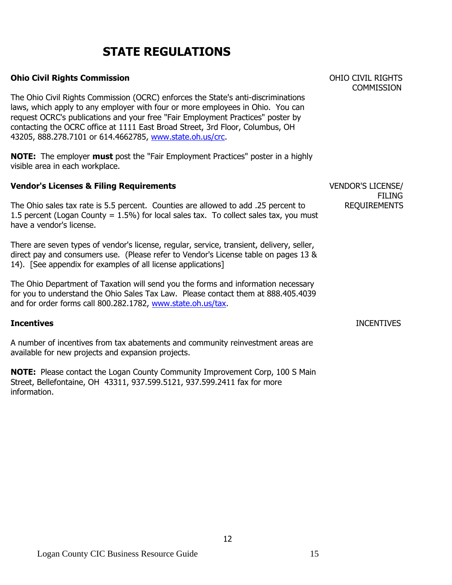## **Ohio Civil Rights Commission** OHIO CIVIL RIGHTS

The Ohio Civil Rights Commission (OCRC) enforces the State's anti-discriminations laws, which apply to any employer with four or more employees in Ohio. You can request OCRC's publications and your free "Fair Employment Practices" poster by contacting the OCRC office at 1111 East Broad Street, 3rd Floor, Columbus, OH 43205, 888.278.7101 or 614.4662785, [www.state.oh.us/crc.](http://www.state.oh.us/crc)

**NOTE:** The employer **must** post the "Fair Employment Practices" poster in a highly visible area in each workplace.

#### **Vendor's Licenses & Filing Requirements VENDOR'S LICENSE**

The Ohio sales tax rate is 5.5 percent. Counties are allowed to add .25 percent to REQUIREMENTS 1.5 percent (Logan County =  $1.5\%$ ) for local sales tax. To collect sales tax, you must have a vendor's license.

There are seven types of vendor's license, regular, service, transient, delivery, seller, direct pay and consumers use. (Please refer to Vendor's License table on pages 13 & 14). [See appendix for examples of all license applications]

The Ohio Department of Taxation will send you the forms and information necessary for you to understand the Ohio Sales Tax Law. Please contact them at 888.405.4039 and for order forms call 800.282.1782, [www.state.oh.us/tax.](http://www.state.oh.us/tax)

A number of incentives from tax abatements and community reinvestment areas are available for new projects and expansion projects.

**NOTE:** Please contact the Logan County Community Improvement Corp, 100 S Main Street, Bellefontaine, OH 43311, 937.599.5121, 937.599.2411 fax for more information.

**COMMISSION** 

FILING

## **Incentives** INCENTIVES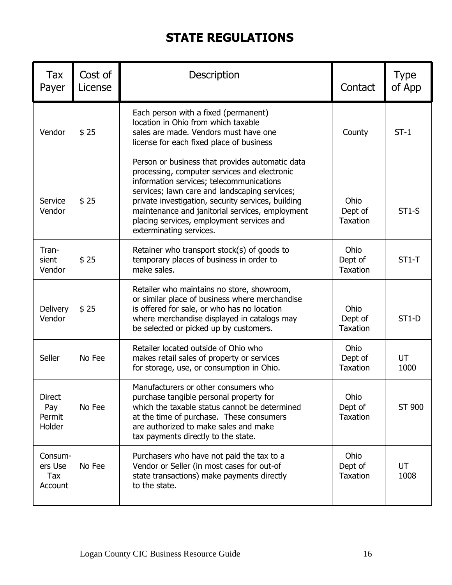| Tax<br>Payer                             | Cost of<br>License | Description                                                                                                                                                                                                                                                                                                                                                                   | Contact                            | <b>Type</b><br>of App |
|------------------------------------------|--------------------|-------------------------------------------------------------------------------------------------------------------------------------------------------------------------------------------------------------------------------------------------------------------------------------------------------------------------------------------------------------------------------|------------------------------------|-----------------------|
| Vendor                                   | \$25               | Each person with a fixed (permanent)<br>location in Ohio from which taxable<br>sales are made. Vendors must have one<br>license for each fixed place of business                                                                                                                                                                                                              | County                             | $ST-1$                |
| Service<br>Vendor                        | \$25               | Person or business that provides automatic data<br>processing, computer services and electronic<br>information services; telecommunications<br>services; lawn care and landscaping services;<br>private investigation, security services, building<br>maintenance and janitorial services, employment<br>placing services, employment services and<br>exterminating services. | Ohio<br>Dept of<br><b>Taxation</b> | $ST1-S$               |
| Tran-<br>sient<br>Vendor                 | \$25               | Retainer who transport stock(s) of goods to<br>temporary places of business in order to<br>make sales.                                                                                                                                                                                                                                                                        | Ohio<br>Dept of<br><b>Taxation</b> | $ST1-T$               |
| <b>Delivery</b><br>Vendor                | \$25               | Retailer who maintains no store, showroom,<br>or similar place of business where merchandise<br>is offered for sale, or who has no location<br>where merchandise displayed in catalogs may<br>be selected or picked up by customers.                                                                                                                                          | Ohio<br>Dept of<br><b>Taxation</b> | $ST1-D$               |
| Seller                                   | No Fee             | Retailer located outside of Ohio who<br>makes retail sales of property or services<br>for storage, use, or consumption in Ohio.                                                                                                                                                                                                                                               | Ohio<br>Dept of<br><b>Taxation</b> | UT<br>1000            |
| <b>Direct</b><br>Pay<br>Permit<br>Holder | No Fee             | Manufacturers or other consumers who<br>purchase tangible personal property for<br>which the taxable status cannot be determined<br>at the time of purchase. These consumers<br>are authorized to make sales and make<br>tax payments directly to the state.                                                                                                                  | Ohio<br>Dept of<br><b>Taxation</b> | ST 900                |
| Consum-<br>ers Use<br>Tax<br>Account     | No Fee             | Purchasers who have not paid the tax to a<br>Vendor or Seller (in most cases for out-of<br>state transactions) make payments directly<br>to the state.                                                                                                                                                                                                                        | Ohio<br>Dept of<br><b>Taxation</b> | UT<br>1008            |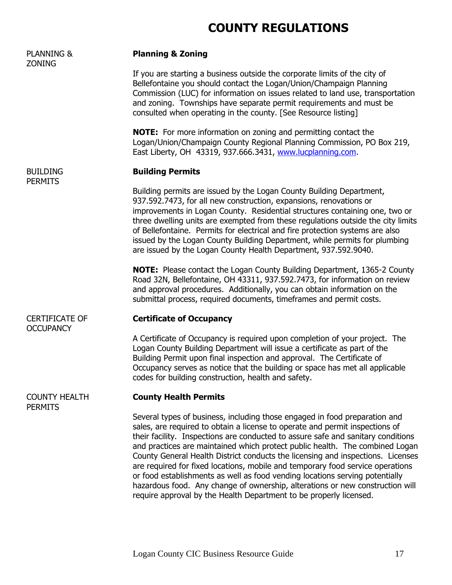# **COUNTY REGULATIONS**

| <b>PLANNING &amp;</b><br><b>ZONING</b>    | <b>Planning &amp; Zoning</b>                                                                                                                                                                                                                                                                                                                                                                                                                                                                                                                                                                                                                                                                                                               |  |  |
|-------------------------------------------|--------------------------------------------------------------------------------------------------------------------------------------------------------------------------------------------------------------------------------------------------------------------------------------------------------------------------------------------------------------------------------------------------------------------------------------------------------------------------------------------------------------------------------------------------------------------------------------------------------------------------------------------------------------------------------------------------------------------------------------------|--|--|
|                                           | If you are starting a business outside the corporate limits of the city of<br>Bellefontaine you should contact the Logan/Union/Champaign Planning<br>Commission (LUC) for information on issues related to land use, transportation<br>and zoning. Townships have separate permit requirements and must be<br>consulted when operating in the county. [See Resource listing]                                                                                                                                                                                                                                                                                                                                                               |  |  |
|                                           | <b>NOTE:</b> For more information on zoning and permitting contact the<br>Logan/Union/Champaign County Regional Planning Commission, PO Box 219,<br>East Liberty, OH 43319, 937.666.3431, www.lucplanning.com.                                                                                                                                                                                                                                                                                                                                                                                                                                                                                                                             |  |  |
| <b>BUILDING</b><br><b>PERMITS</b>         | <b>Building Permits</b>                                                                                                                                                                                                                                                                                                                                                                                                                                                                                                                                                                                                                                                                                                                    |  |  |
|                                           | Building permits are issued by the Logan County Building Department,<br>937.592.7473, for all new construction, expansions, renovations or<br>improvements in Logan County. Residential structures containing one, two or<br>three dwelling units are exempted from these regulations outside the city limits<br>of Bellefontaine. Permits for electrical and fire protection systems are also<br>issued by the Logan County Building Department, while permits for plumbing<br>are issued by the Logan County Health Department, 937.592.9040.                                                                                                                                                                                            |  |  |
|                                           | <b>NOTE:</b> Please contact the Logan County Building Department, 1365-2 County<br>Road 32N, Bellefontaine, OH 43311, 937.592.7473, for information on review<br>and approval procedures. Additionally, you can obtain information on the<br>submittal process, required documents, timeframes and permit costs.                                                                                                                                                                                                                                                                                                                                                                                                                           |  |  |
| <b>CERTIFICATE OF</b><br><b>OCCUPANCY</b> | <b>Certificate of Occupancy</b>                                                                                                                                                                                                                                                                                                                                                                                                                                                                                                                                                                                                                                                                                                            |  |  |
|                                           | A Certificate of Occupancy is required upon completion of your project. The<br>Logan County Building Department will issue a certificate as part of the<br>Building Permit upon final inspection and approval. The Certificate of<br>Occupancy serves as notice that the building or space has met all applicable<br>codes for building construction, health and safety.                                                                                                                                                                                                                                                                                                                                                                   |  |  |
| <b>COUNTY HEALTH</b><br><b>PERMITS</b>    | <b>County Health Permits</b>                                                                                                                                                                                                                                                                                                                                                                                                                                                                                                                                                                                                                                                                                                               |  |  |
|                                           | Several types of business, including those engaged in food preparation and<br>sales, are required to obtain a license to operate and permit inspections of<br>their facility. Inspections are conducted to assure safe and sanitary conditions<br>and practices are maintained which protect public health. The combined Logan<br>County General Health District conducts the licensing and inspections. Licenses<br>are required for fixed locations, mobile and temporary food service operations<br>or food establishments as well as food vending locations serving potentially<br>hazardous food. Any change of ownership, alterations or new construction will<br>require approval by the Health Department to be properly licensed. |  |  |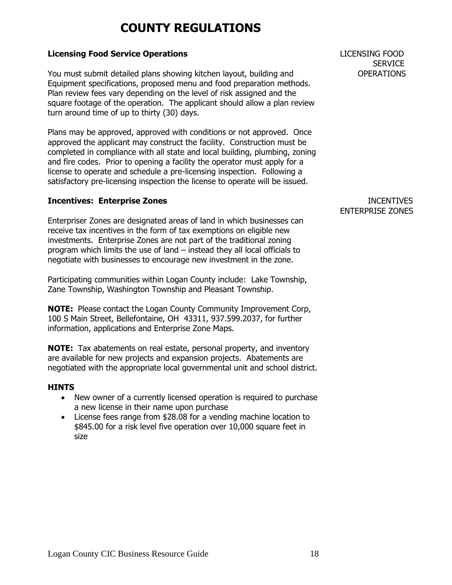# **COUNTY REGULATIONS**

# **Licensing Food Service Operations** LICENSING FOOD

You must submit detailed plans showing kitchen layout, building and OPERATIONS Equipment specifications, proposed menu and food preparation methods. Plan review fees vary depending on the level of risk assigned and the square footage of the operation. The applicant should allow a plan review turn around time of up to thirty (30) days.

Plans may be approved, approved with conditions or not approved. Once approved the applicant may construct the facility. Construction must be completed in compliance with all state and local building, plumbing, zoning and fire codes. Prior to opening a facility the operator must apply for a license to operate and schedule a pre-licensing inspection. Following a satisfactory pre-licensing inspection the license to operate will be issued.

# **Incentives: Enterprise Zones INCENTIVES**

Enterpriser Zones are designated areas of land in which businesses can receive tax incentives in the form of tax exemptions on eligible new investments. Enterprise Zones are not part of the traditional zoning program which limits the use of land – instead they all local officials to negotiate with businesses to encourage new investment in the zone.

Participating communities within Logan County include: Lake Township, Zane Township, Washington Township and Pleasant Township.

**NOTE:** Please contact the Logan County Community Improvement Corp, 100 S Main Street, Bellefontaine, OH 43311, 937.599.2037, for further information, applications and Enterprise Zone Maps.

**NOTE:** Tax abatements on real estate, personal property, and inventory are available for new projects and expansion projects. Abatements are negotiated with the appropriate local governmental unit and school district.

# **HINTS**

- New owner of a currently licensed operation is required to purchase a new license in their name upon purchase
- License fees range from \$28.08 for a vending machine location to \$845.00 for a risk level five operation over 10,000 square feet in size

**SERVICE** 

# ENTERPRISE ZONES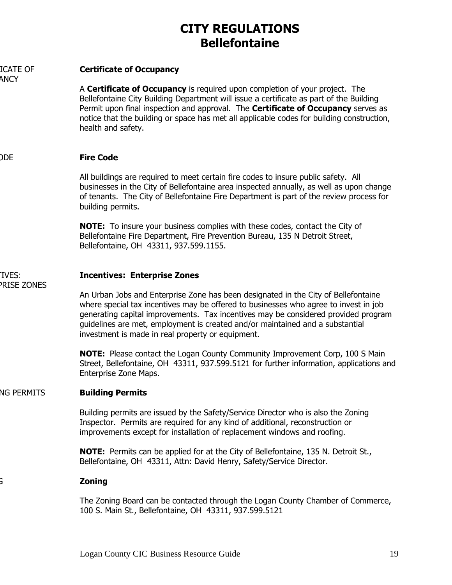# **CITY REGULATIONS Bellefontaine**

| <b>ICATE OF</b><br><b>ANCY</b> | <b>Certificate of Occupancy</b>                                                                                                                                                                                                                                                                                                                                                                        |
|--------------------------------|--------------------------------------------------------------------------------------------------------------------------------------------------------------------------------------------------------------------------------------------------------------------------------------------------------------------------------------------------------------------------------------------------------|
|                                | A <b>Certificate of Occupancy</b> is required upon completion of your project. The<br>Bellefontaine City Building Department will issue a certificate as part of the Building<br>Permit upon final inspection and approval. The <b>Certificate of Occupancy</b> serves as<br>notice that the building or space has met all applicable codes for building construction,<br>health and safety.           |
| DDE                            | <b>Fire Code</b>                                                                                                                                                                                                                                                                                                                                                                                       |
|                                | All buildings are required to meet certain fire codes to insure public safety. All<br>businesses in the City of Bellefontaine area inspected annually, as well as upon change<br>of tenants. The City of Bellefontaine Fire Department is part of the review process for<br>building permits.                                                                                                          |
|                                | <b>NOTE:</b> To insure your business complies with these codes, contact the City of<br>Bellefontaine Fire Department, Fire Prevention Bureau, 135 N Detroit Street,<br>Bellefontaine, OH 43311, 937.599.1155.                                                                                                                                                                                          |
| TVES:                          | <b>Incentives: Enterprise Zones</b>                                                                                                                                                                                                                                                                                                                                                                    |
| <b>PRISE ZONES</b>             | An Urban Jobs and Enterprise Zone has been designated in the City of Bellefontaine<br>where special tax incentives may be offered to businesses who agree to invest in job<br>generating capital improvements. Tax incentives may be considered provided program<br>guidelines are met, employment is created and/or maintained and a substantial<br>investment is made in real property or equipment. |
|                                | <b>NOTE:</b> Please contact the Logan County Community Improvement Corp, 100 S Main<br>Street, Bellefontaine, OH 43311, 937.599.5121 for further information, applications and<br>Enterprise Zone Maps.                                                                                                                                                                                                |
| <b>NG PERMITS</b>              | <b>Building Permits</b>                                                                                                                                                                                                                                                                                                                                                                                |
|                                | Building permits are issued by the Safety/Service Director who is also the Zoning<br>Inspector. Permits are required for any kind of additional, reconstruction or<br>improvements except for installation of replacement windows and roofing.                                                                                                                                                         |
|                                | <b>NOTE:</b> Permits can be applied for at the City of Bellefontaine, 135 N. Detroit St.,<br>Bellefontaine, OH 43311, Attn: David Henry, Safety/Service Director.                                                                                                                                                                                                                                      |
|                                | <b>Zoning</b>                                                                                                                                                                                                                                                                                                                                                                                          |
|                                | The Zoning Board can be contacted through the Logan County Chamber of Commerce,<br>100 S. Main St., Bellefontaine, OH 43311, 937.599.5121                                                                                                                                                                                                                                                              |
|                                |                                                                                                                                                                                                                                                                                                                                                                                                        |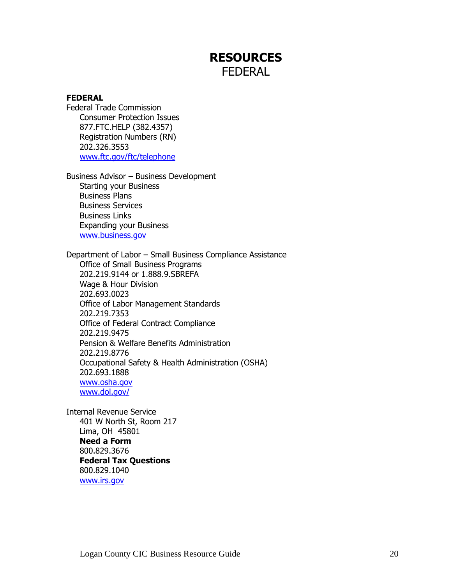# **RESOURCES** FEDERAL

# **FEDERAL**

Federal Trade Commission Consumer Protection Issues 877.FTC.HELP (382.4357) Registration Numbers (RN) 202.326.3553 [www.ftc.gov/ftc/telephone](http://www.ftc.gov/ftc/telephone)

Business Advisor – Business Development Starting your Business Business Plans Business Services Business Links Expanding your Business [www.business.gov](http://www.business.gov/)

Department of Labor – Small Business Compliance Assistance Office of Small Business Programs 202.219.9144 or 1.888.9.SBREFA Wage & Hour Division 202.693.0023 Office of Labor Management Standards 202.219.7353 Office of Federal Contract Compliance 202.219.9475 Pension & Welfare Benefits Administration 202.219.8776 Occupational Safety & Health Administration (OSHA) 202.693.1888 [www.osha.gov](http://www.osha.gov/) [www.dol.gov/](http://www.dol.gov/)

Internal Revenue Service 401 W North St, Room 217 Lima, OH 45801 **Need a Form** 800.829.3676 **Federal Tax Questions** 800.829.1040 [www.irs.gov](http://www.irs.gov/)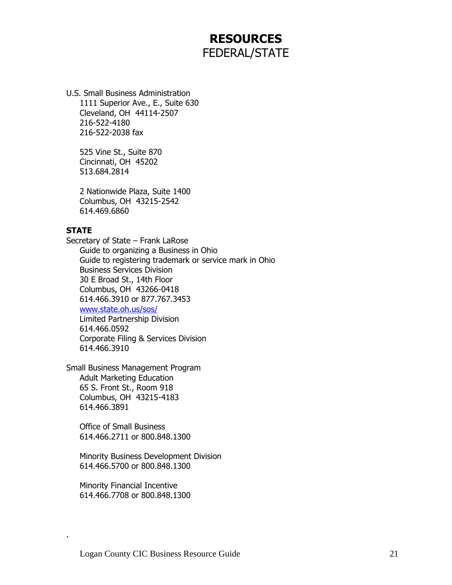# **RESOURCES** FEDERAL/STATE

U.S. Small Business Administration 1111 Superior Ave., E., Suite 630 Cleveland, OH 44114-2507 216-522-4180 216-522-2038 fax

525 Vine St., Suite 870 Cincinnati, OH 45202 513.684.2814

2 Nationwide Plaza, Suite 1400 Columbus, OH 43215-2542 614.469.6860

# **STATE**

.

Secretary of State – Frank LaRose Guide to organizing a Business in Ohio Guide to registering trademark or service mark in Ohio Business Services Division 30 E Broad St., 14th Floor Columbus, OH 43266-0418 614.466.3910 or 877.767.3453 [www.state.oh.us/sos/](http://www.state.oh.us/sos/) Limited Partnership Division 614.466.0592 Corporate Filing & Services Division 614.466.3910

Small Business Management Program Adult Marketing Education 65 S. Front St., Room 918 Columbus, OH 43215-4183 614.466.3891

Office of Small Business 614.466.2711 or 800.848.1300

Minority Business Development Division 614.466.5700 or 800.848.1300

Minority Financial Incentive 614.466.7708 or 800.848.1300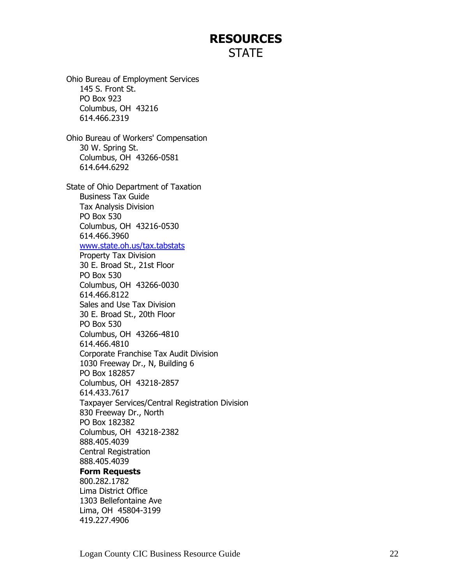# **RESOURCES STATE**

Ohio Bureau of Employment Services 145 S. Front St. PO Box 923 Columbus, OH 43216 614.466.2319 Ohio Bureau of Workers' Compensation 30 W. Spring St. Columbus, OH 43266-0581 614.644.6292 State of Ohio Department of Taxation Business Tax Guide Tax Analysis Division PO Box 530 Columbus, OH 43216-0530 614.466.3960 [www.state.oh.us/tax.tabstats](http://www.state.oh.us/tax.tabstats) Property Tax Division 30 E. Broad St., 21st Floor PO Box 530 Columbus, OH 43266-0030 614.466.8122 Sales and Use Tax Division 30 E. Broad St., 20th Floor PO Box 530 Columbus, OH 43266-4810 614.466.4810 Corporate Franchise Tax Audit Division 1030 Freeway Dr., N, Building 6 PO Box 182857 Columbus, OH 43218-2857 614.433.7617 Taxpayer Services/Central Registration Division 830 Freeway Dr., North PO Box 182382 Columbus, OH 43218-2382 888.405.4039 Central Registration 888.405.4039 **Form Requests** 800.282.1782 Lima District Office 1303 Bellefontaine Ave Lima, OH 45804-3199 419.227.4906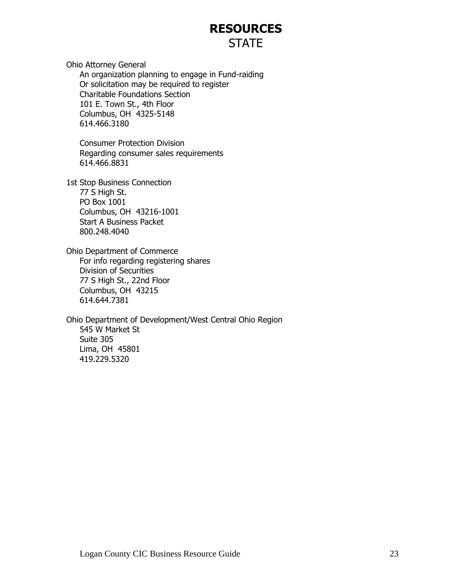# **RESOURCES STATE**

Ohio Attorney General An organization planning to engage in Fund-raiding Or solicitation may be required to register Charitable Foundations Section 101 E. Town St., 4th Floor Columbus, OH 4325-5148 614.466.3180

Consumer Protection Division Regarding consumer sales requirements 614.466.8831

1st Stop Business Connection 77 S High St. PO Box 1001 Columbus, OH 43216-1001 Start A Business Packet 800.248.4040

Ohio Department of Commerce For info regarding registering shares Division of Securities 77 S High St., 22nd Floor Columbus, OH 43215 614.644.7381

Ohio Department of Development/West Central Ohio Region 545 W Market St Suite 305 Lima, OH 45801 419.229.5320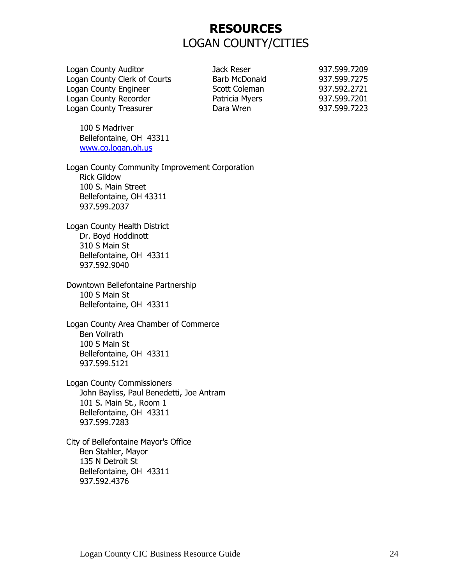# **RESOURCES** LOGAN COUNTY/CITIES

Logan County Auditor Jack Reser 937.599.7209 Logan County Clerk of Courts Barb McDonald 937.599.7275 Logan County Engineer Scott Coleman 937.592.2721 Logan County Recorder **Patricia Myers** 937.599.7201 Logan County Treasurer Dara Wren 937.599.7223

100 S Madriver Bellefontaine, OH 43311 [www.co.logan.oh.us](http://www.co.logan.oh.us/)

Logan County Community Improvement Corporation Rick Gildow 100 S. Main Street Bellefontaine, OH 43311 937.599.2037

Logan County Health District Dr. Boyd Hoddinott 310 S Main St Bellefontaine, OH 43311 937.592.9040

Downtown Bellefontaine Partnership 100 S Main St Bellefontaine, OH 43311

Logan County Area Chamber of Commerce Ben Vollrath 100 S Main St Bellefontaine, OH 43311 937.599.5121

Logan County Commissioners John Bayliss, Paul Benedetti, Joe Antram 101 S. Main St., Room 1 Bellefontaine, OH 43311 937.599.7283

City of Bellefontaine Mayor's Office Ben Stahler, Mayor 135 N Detroit St Bellefontaine, OH 43311 937.592.4376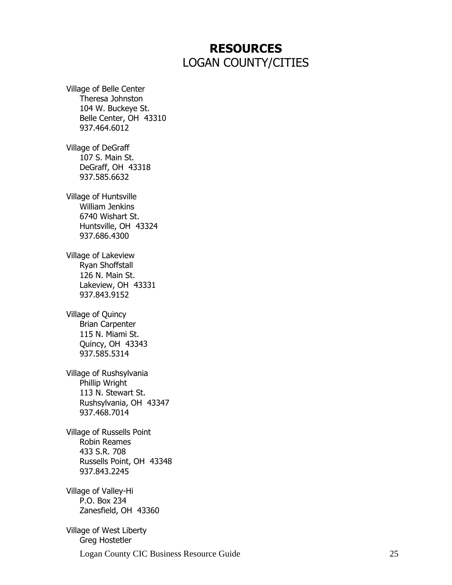# **RESOURCES** LOGAN COUNTY/CITIES

Village of Belle Center Theresa Johnston 104 W. Buckeye St. Belle Center, OH 43310 937.464.6012 Village of DeGraff 107 S. Main St. DeGraff, OH 43318 937.585.6632 Village of Huntsville William Jenkins 6740 Wishart St. Huntsville, OH 43324 937.686.4300 Village of Lakeview Ryan Shoffstall 126 N. Main St. Lakeview, OH 43331 937.843.9152 Village of Quincy Brian Carpenter 115 N. Miami St. Quincy, OH 43343 937.585.5314 Village of Rushsylvania Phillip Wright 113 N. Stewart St. Rushsylvania, OH 43347 937.468.7014 Village of Russells Point Robin Reames 433 S.R. 708 Russells Point, OH 43348 937.843.2245 Village of Valley-Hi P.O. Box 234 Zanesfield, OH 43360 Village of West Liberty Greg Hostetler

Logan County CIC Business Resource Guide 25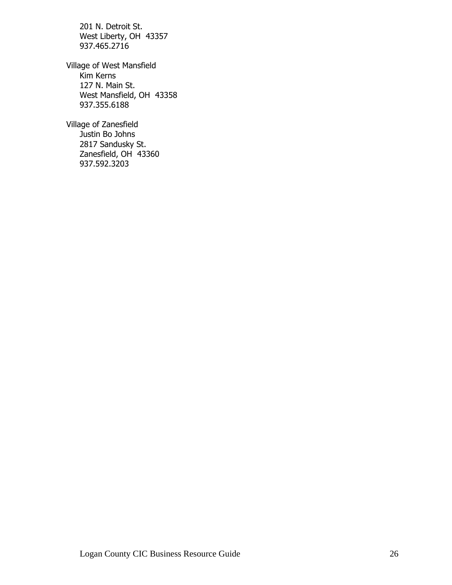201 N. Detroit St. West Liberty, OH 43357 937.465.2716

Village of West Mansfield Kim Kerns 127 N. Main St. West Mansfield, OH 43358 937.355.6188

Village of Zanesfield Justin Bo Johns 2817 Sandusky St. Zanesfield, OH 43360 937.592.3203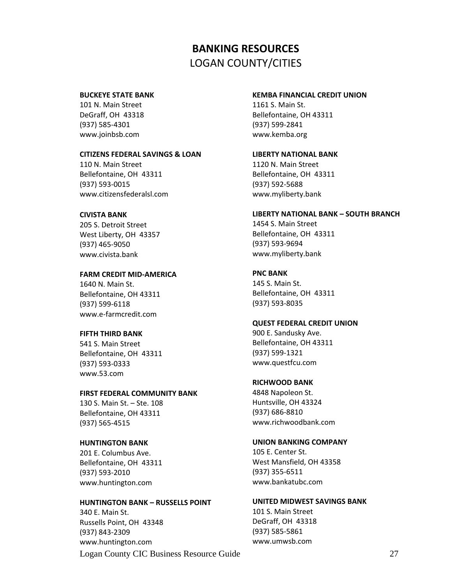# **BANKING RESOURCES** LOGAN COUNTY/CITIES

#### **BUCKEYE STATE BANK**

101 N. Main Street DeGraff, OH 43318 (937) 585-4301 www.joinbsb.com

#### **CITIZENS FEDERAL SAVINGS & LOAN**

110 N. Main Street Bellefontaine, OH 43311 (937) 593-0015 www.citizensfederalsl.com

#### **CIVISTA BANK**

205 S. Detroit Street West Liberty, OH 43357 (937) 465-9050 www.civista.bank

#### **FARM CREDIT MID-AMERICA**

1640 N. Main St. Bellefontaine, OH 43311 (937) 599-6118 www.e-farmcredit.com

#### **FIFTH THIRD BANK**

541 S. Main Street Bellefontaine, OH 43311 (937) 593-0333 www.53.com

#### **FIRST FEDERAL COMMUNITY BANK**

130 S. Main St. – Ste. 108 Bellefontaine, OH 43311 (937) 565-4515

#### **HUNTINGTON BANK**

201 E. Columbus Ave. Bellefontaine, OH 43311 (937) 593-2010 www.huntington.com

#### **HUNTINGTON BANK – RUSSELLS POINT**

340 E. Main St. Russells Point, OH 43348 (937) 843-2309 www.huntington.com

#### **LIBERTY NATIONAL BANK** 1120 N. Main Street

1161 S. Main St.

(937) 599-2841 www.kemba.org

Bellefontaine, OH 43311 (937) 592-5688 www.myliberty.bank

Bellefontaine, OH 43311

**KEMBA FINANCIAL CREDIT UNION**

#### **LIBERTY NATIONAL BANK – SOUTH BRANCH**

1454 S. Main Street Bellefontaine, OH 43311 (937) 593-9694 www.myliberty.bank

# **PNC BANK**

145 S. Main St. Bellefontaine, OH 43311 (937) 593-8035

#### **QUEST FEDERAL CREDIT UNION**

900 E. Sandusky Ave. Bellefontaine, OH 43311 (937) 599-1321 www.questfcu.com

# **RICHWOOD BANK**

4848 Napoleon St. Huntsville, OH 43324 (937) 686-8810 www.richwoodbank.com

# **UNION BANKING COMPANY**

105 E. Center St. West Mansfield, OH 43358 (937) 355-6511 www.bankatubc.com

# **UNITED MIDWEST SAVINGS BANK**

101 S. Main Street DeGraff, OH 43318 (937) 585-5861 www.umwsb.com

Logan County CIC Business Resource Guide 27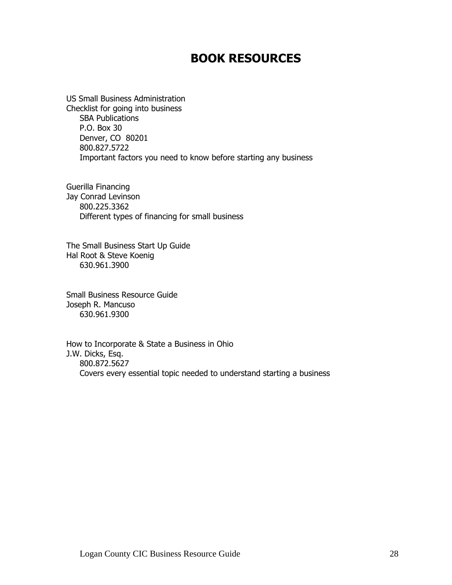# **BOOK RESOURCES**

US Small Business Administration Checklist for going into business SBA Publications P.O. Box 30 Denver, CO 80201 800.827.5722 Important factors you need to know before starting any business

Guerilla Financing Jay Conrad Levinson 800.225.3362 Different types of financing for small business

The Small Business Start Up Guide Hal Root & Steve Koenig 630.961.3900

Small Business Resource Guide Joseph R. Mancuso 630.961.9300

How to Incorporate & State a Business in Ohio J.W. Dicks, Esq. 800.872.5627 Covers every essential topic needed to understand starting a business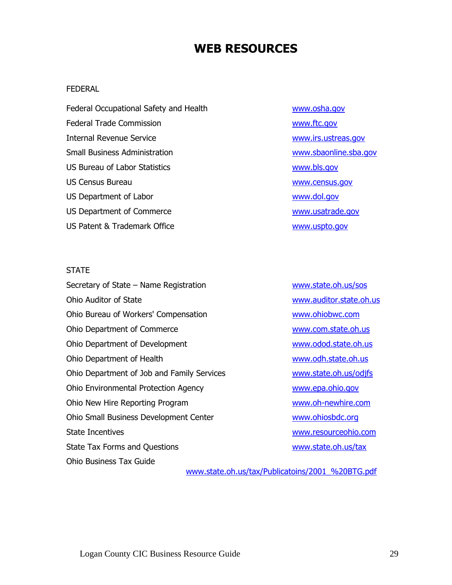# **WEB RESOURCES**

#### FEDERAL

Federal Occupational Safety and Health [www.osha.gov](http://www.osha.gov/) Federal Trade Commission [www.ftc.gov](http://www.ftc.gov/) Internal Revenue Service [www.irs.ustreas.gov](http://www.irs.ustreas.gov/) Small Business Administration [www.sbaonline.sba.gov](http://www.sbaonline.sba.gov/) US Bureau of Labor Statistics [www.bls.gov](http://www.bls.gov/) US Census Bureau [www.census.gov](http://www.census.gov/) US Department of Labor [www.dol.gov](http://www.dol.gov/) US Department of Commerce [www.usatrade.gov](http://www.usatrade.gov/) US Patent & Trademark Office [www.uspto.gov](http://www.uspto.gov/)

#### **STATE**

Secretary of State – Name Registration example [www.state.oh.us/sos](http://www.state.oh.us/sos) Ohio Auditor of State [www.auditor.state.oh.us](http://www.auditor.state.oh.us/) Ohio Bureau of Workers' Compensation [www.ohiobwc.com](http://www.ohiobwc.com/) Ohio Department of Commerce [www.com.state.oh.us](http://www.com.state.oh.us/) Ohio Department of Development [www.odod.state.oh.us](http://www.odod.state.oh.us/) Ohio Department of Health [www.odh.state.oh.us](http://www.odh.state.oh.us/) Ohio Department of Job and Family Services [www.state.oh.us/odjfs](http://www.state.oh.us/odjfs) Ohio Environmental Protection Agency [www.epa.ohio.gov](http://www.epa.ohio.gov/) Ohio New Hire Reporting Program Web 1980 [www.oh-newhire.com](http://www.oh-newhire.com/) Ohio Small Business Development Center [www.ohiosbdc.org](http://www.ohiosbdc.org/) State Incentives [www.resourceohio.com](http://www.resourceohio.com/) State Tax Forms and Questions [www.state.oh.us/tax](http://www.state.oh.us/tax) Ohio Business Tax Guide

[www.state.oh.us/tax/Publicatoins/2001\\_%20BTG.pdf](http://www.state.oh.us/tax/Publicatoins/2001_%20BTG.pdf)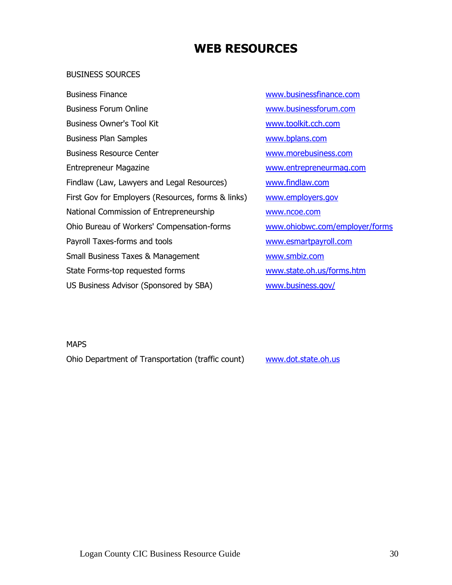# **WEB RESOURCES**

#### BUSINESS SOURCES

Business Finance [www.businessfinance.com](http://www.businessfinance.com/) Business Forum Online Washington Washington Washington Washington Washington Com Business Owner's Tool Kit [www.toolkit.cch.com](http://www.toolkit.cch.com/) Business Plan Samples [www.bplans.com](http://www.bplans.com/) Business Resource Center [www.morebusiness.com](http://www.morebusiness.com/) Entrepreneur Magazine [www.entrepreneurmag.com](http://www.entrepreneurmag.com/) Findlaw (Law, Lawyers and Legal Resources) [www.findlaw.com](http://www.findlaw.com/) First Gov for Employers (Resources, forms & links) [www.employers.gov](http://www.employers.gov/) National Commission of Entrepreneurship [www.ncoe.com](http://www.ncoe.com/) Ohio Bureau of Workers' Compensation-forms [www.ohiobwc.com/employer/forms](http://www.ohiobwc.com/employer/forms) Payroll Taxes-forms and tools [www.esmartpayroll.com](http://www.esmartpayroll.com/) Small Business Taxes & Management [www.smbiz.com](http://www.smbiz.com/) State Forms-top requested forms [www.state.oh.us/forms.htm](http://www.state.oh.us/forms.htm) US Business Advisor (Sponsored by SBA) [www.business.gov/](http://www.business.gov/)

**MAPS** 

Ohio Department of Transportation (traffic count) [www.dot.state.oh.us](http://www.dot.state.oh.us/)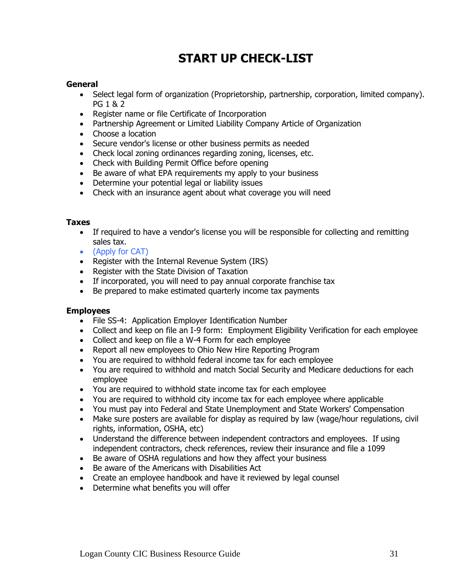# **START UP CHECK-LIST**

#### **General**

- Select legal form of organization (Proprietorship, partnership, corporation, limited company). PG 1 & 2
- Register name or file Certificate of Incorporation
- Partnership Agreement or Limited Liability Company Article of Organization
- Choose a location
- Secure vendor's license or other business permits as needed
- Check local zoning ordinances regarding zoning, licenses, etc.
- Check with Building Permit Office before opening
- Be aware of what EPA requirements my apply to your business
- Determine your potential legal or liability issues
- Check with an insurance agent about what coverage you will need

#### **Taxes**

- If required to have a vendor's license you will be responsible for collecting and remitting sales tax.
- (Apply for CAT)
- Register with the Internal Revenue System (IRS)
- Register with the State Division of Taxation
- If incorporated, you will need to pay annual corporate franchise tax
- Be prepared to make estimated quarterly income tax payments

#### **Employees**

- File SS-4: Application Employer Identification Number
- Collect and keep on file an I-9 form: Employment Eligibility Verification for each employee
- Collect and keep on file a W-4 Form for each employee
- Report all new employees to Ohio New Hire Reporting Program
- You are required to withhold federal income tax for each employee
- You are required to withhold and match Social Security and Medicare deductions for each employee
- You are required to withhold state income tax for each employee
- You are required to withhold city income tax for each employee where applicable
- You must pay into Federal and State Unemployment and State Workers' Compensation
- Make sure posters are available for display as required by law (wage/hour regulations, civil rights, information, OSHA, etc)
- Understand the difference between independent contractors and employees. If using independent contractors, check references, review their insurance and file a 1099
- Be aware of OSHA regulations and how they affect your business
- Be aware of the Americans with Disabilities Act
- Create an employee handbook and have it reviewed by legal counsel
- Determine what benefits you will offer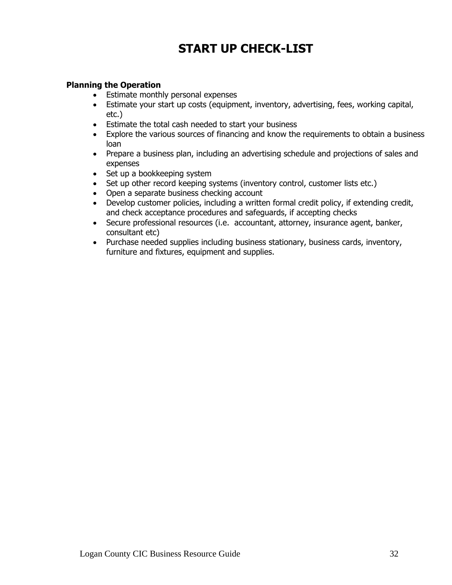# **START UP CHECK-LIST**

# **Planning the Operation**

- Estimate monthly personal expenses
- Estimate your start up costs (equipment, inventory, advertising, fees, working capital, etc.)
- Estimate the total cash needed to start your business
- Explore the various sources of financing and know the requirements to obtain a business loan
- Prepare a business plan, including an advertising schedule and projections of sales and expenses
- Set up a bookkeeping system
- Set up other record keeping systems (inventory control, customer lists etc.)
- Open a separate business checking account
- Develop customer policies, including a written formal credit policy, if extending credit, and check acceptance procedures and safeguards, if accepting checks
- Secure professional resources (i.e. accountant, attorney, insurance agent, banker, consultant etc)
- Purchase needed supplies including business stationary, business cards, inventory, furniture and fixtures, equipment and supplies.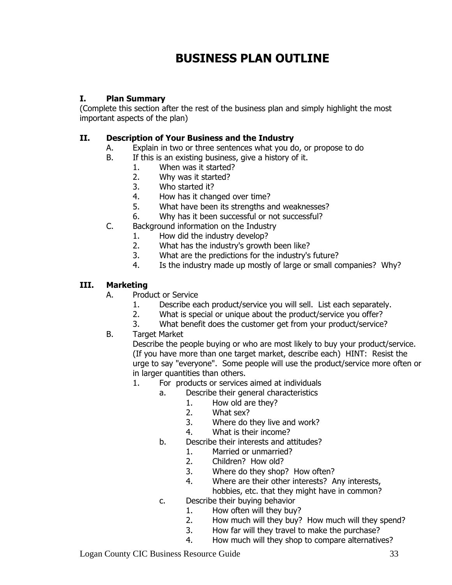# **I. Plan Summary**

(Complete this section after the rest of the business plan and simply highlight the most important aspects of the plan)

# **II. Description of Your Business and the Industry**

- A. Explain in two or three sentences what you do, or propose to do
- B. If this is an existing business, give a history of it.
	- 1. When was it started?
	- 2. Why was it started?
	- 3. Who started it?
	- 4. How has it changed over time?
	- 5. What have been its strengths and weaknesses?
	- 6. Why has it been successful or not successful?
- C. Background information on the Industry
	- 1. How did the industry develop?
	- 2. What has the industry's growth been like?
	- 3. What are the predictions for the industry's future?
	- 4. Is the industry made up mostly of large or small companies? Why?

# **III. Marketing**

- A. Product or Service
	- 1. Describe each product/service you will sell. List each separately.
	- 2. What is special or unique about the product/service you offer?
	- 3. What benefit does the customer get from your product/service?

# B. Target Market

Describe the people buying or who are most likely to buy your product/service. (If you have more than one target market, describe each) HINT: Resist the urge to say "everyone". Some people will use the product/service more often or in larger quantities than others.

# 1. For products or services aimed at individuals

- a. Describe their general characteristics
	- 1. How old are they?
	- 2. What sex?
	- 3. Where do they live and work?
	- 4. What is their income?
- b. Describe their interests and attitudes?
	- 1. Married or unmarried?
	- 2. Children? How old?
	- 3. Where do they shop? How often?
	- 4. Where are their other interests? Any interests, hobbies, etc. that they might have in common?
- c. Describe their buying behavior
	- 1. How often will they buy?
	- 2. How much will they buy? How much will they spend?
	- 3. How far will they travel to make the purchase?
	- 4. How much will they shop to compare alternatives?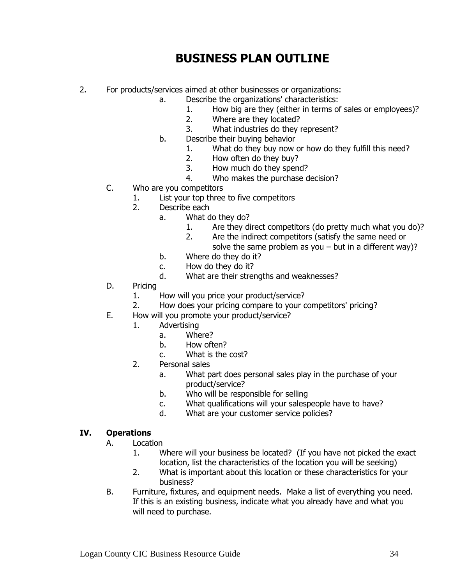- 2. For products/services aimed at other businesses or organizations:
	- a. Describe the organizations' characteristics:
		- 1. How big are they (either in terms of sales or employees)?
		- 2. Where are they located?
		- 3. What industries do they represent?
	- b. Describe their buying behavior
		- 1. What do they buy now or how do they fulfill this need?
		- 2. How often do they buy?
		- 3. How much do they spend?
		- 4. Who makes the purchase decision?
	- C. Who are you competitors
		- 1. List your top three to five competitors
		- 2. Describe each
			- a. What do they do?
				- 1. Are they direct competitors (do pretty much what you do)?
				- 2. Are the indirect competitors (satisfy the same need or solve the same problem as you  $-$  but in a different way)?
			- b. Where do they do it?
			- c. How do they do it?
			- d. What are their strengths and weaknesses?
	- D. Pricing
		- 1. How will you price your product/service?
		- 2. How does your pricing compare to your competitors' pricing?
	- E. How will you promote your product/service?
		- 1. Advertising
			- a. Where?
			- b. How often?
			- c. What is the cost?
			- 2. Personal sales
				- a. What part does personal sales play in the purchase of your product/service?
				- b. Who will be responsible for selling
				- c. What qualifications will your salespeople have to have?
				- d. What are your customer service policies?

#### **IV. Operations**

- A. Location
	- 1. Where will your business be located? (If you have not picked the exact location, list the characteristics of the location you will be seeking)
	- 2. What is important about this location or these characteristics for your business?
- B. Furniture, fixtures, and equipment needs. Make a list of everything you need. If this is an existing business, indicate what you already have and what you will need to purchase.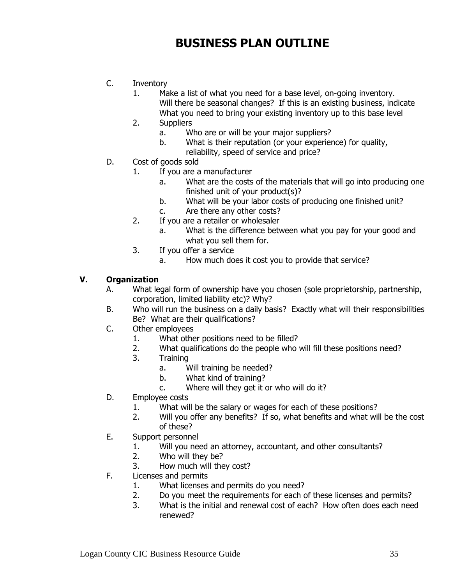- C. Inventory
	- 1. Make a list of what you need for a base level, on-going inventory. Will there be seasonal changes? If this is an existing business, indicate What you need to bring your existing inventory up to this base level
	- 2. Suppliers
		- a. Who are or will be your major suppliers?
		- b. What is their reputation (or your experience) for quality,
			- reliability, speed of service and price?
- D. Cost of goods sold
	- 1. If you are a manufacturer
		- a. What are the costs of the materials that will go into producing one finished unit of your product(s)?
		- b. What will be your labor costs of producing one finished unit?
		- c. Are there any other costs?
	- 2. If you are a retailer or wholesaler
		- a. What is the difference between what you pay for your good and what you sell them for.
	- 3. If you offer a service
		- a. How much does it cost you to provide that service?

# **V. Organization**

- A. What legal form of ownership have you chosen (sole proprietorship, partnership, corporation, limited liability etc)? Why?
- B. Who will run the business on a daily basis? Exactly what will their responsibilities Be? What are their qualifications?
- C. Other employees
	- 1. What other positions need to be filled?
	- 2. What qualifications do the people who will fill these positions need?
	- 3. Training
		- a. Will training be needed?
		- b. What kind of training?
		- c. Where will they get it or who will do it?
- D. Employee costs
	- 1. What will be the salary or wages for each of these positions?
	- 2. Will you offer any benefits? If so, what benefits and what will be the cost of these?
- E. Support personnel
	- 1. Will you need an attorney, accountant, and other consultants?
	- 2. Who will they be?
	- 3. How much will they cost?
- F. Licenses and permits
	- 1. What licenses and permits do you need?
	- 2. Do you meet the requirements for each of these licenses and permits?
	- 3. What is the initial and renewal cost of each? How often does each need renewed?